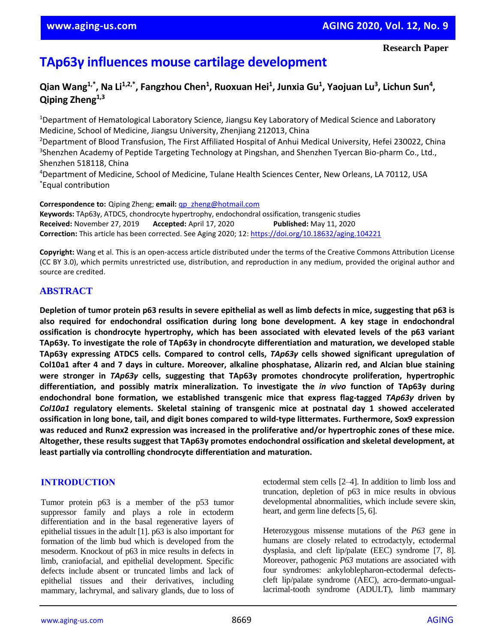# **TAp63γ influences mouse cartilage development**

 $\alpha$ Qian Wang<sup>1,\*</sup>, Na Li<sup>1,2,\*</sup>, Fangzhou Chen<sup>1</sup>, Ruoxuan Hei<sup>1</sup>, Junxia Gu<sup>1</sup>, Yaojuan Lu<sup>3</sup>, Lichun Sun<sup>4</sup>, **Qiping Zheng1,3**

<sup>1</sup>Department of Hematological Laboratory Science, Jiangsu Key Laboratory of Medical Science and Laboratory Medicine, School of Medicine, Jiangsu University, Zhenjiang 212013, China

<sup>2</sup>Department of Blood Transfusion, The First Affiliated Hospital of Anhui Medical University, Hefei 230022, China <sup>3</sup>Shenzhen Academy of Peptide Targeting Technology at Pingshan, and Shenzhen Tyercan Bio-pharm Co., Ltd., Shenzhen 518118, China

<sup>4</sup>Department of Medicine, School of Medicine, Tulane Health Sciences Center, New Orleans, LA 70112, USA \*Equal contribution

**Correspondence to:** Qiping Zheng; **email:** [qp\\_zheng@hotmail.com](mailto:qp_zheng@hotmail.com)

**Keywords:** TAp63γ, ATDC5, chondrocyte hypertrophy, endochondral ossification, transgenic studies **Received:** November 27, 2019 **Accepted:** April 17, 2020 **Published:** May 11, 2020 **Correction:** This article has been corrected. See Aging 2020; 12:<https://doi.org/10.18632/aging.104221>

**Copyright:** Wang et al. This is an open-access article distributed under the terms of the Creative Commons Attribution License (CC BY 3.0), which permits unrestricted use, distribution, and reproduction in any medium, provided the original author and source are credited.

# **ABSTRACT**

Depletion of tumor protein p63 results in severe epithelial as well as limb defects in mice, suggesting that p63 is **also required for endochondral ossification during long bone development. A key stage in endochondral ossification is chondrocyte hypertrophy, which has been associated with elevated levels of the p63 variant TAp63γ. To investigate the role of TAp63γ in chondrocyte differentiation and maturation, we developed stable TAp63γ expressing ATDC5 cells. Compared to control cells,** *TAp63γ* **cells showed significant upregulation of** Col10a1 after 4 and 7 days in culture. Moreover, alkaline phosphatase, Alizarin red, and Alcian blue staining **were stronger in** *TAp63γ* **cells, suggesting that TAp63γ promotes chondrocyte proliferation, hypertrophic differentiation, and possibly matrix mineralization. To investigate the** *in vivo* **function of TAp63γ during endochondral bone formation, we established transgenic mice that express flag-tagged** *TAp63γ* **driven by** *Col10a1* **regulatory elements. Skeletal staining of transgenic mice at postnatal day 1 showed accelerated ossification in long bone, tail, and digit bones compared to wild-type littermates. Furthermore, Sox9 expression was reduced and Runx2 expression was increased in the proliferative and/or hypertrophic zones of these mice. Altogether, these results suggest that TAp63γ promotes endochondral ossification and skeletal development, at least partially via controlling chondrocyte differentiation and maturation.**

# **INTRODUCTION**

Tumor protein p63 is a member of the p53 tumor suppressor family and plays a role in ectoderm differentiation and in the basal regenerative layers of epithelial tissues in the adult [1]. p63 is also important for formation of the limb bud which is developed from the mesoderm. Knockout of p63 in mice results in defects in limb, craniofacial, and epithelial development. Specific defects include absent or truncated limbs and lack of epithelial tissues and their derivatives, including mammary, lachrymal, and salivary glands, due to loss of ectodermal stem cells [2–4]. In addition to limb loss and truncation, depletion of p63 in mice results in obvious developmental abnormalities, which include severe skin, heart, and germ line defects [5, 6].

Heterozygous missense mutations of the *P63* gene in humans are closely related to ectrodactyly, ectodermal dysplasia, and cleft lip/palate (EEC) syndrome [7, 8]. Moreover, pathogenic *P63* mutations are associated with four syndromes: ankyloblepharon-ectodermal defectscleft lip/palate syndrome (AEC), acro-dermato-unguallacrimal-tooth syndrome (ADULT), limb mammary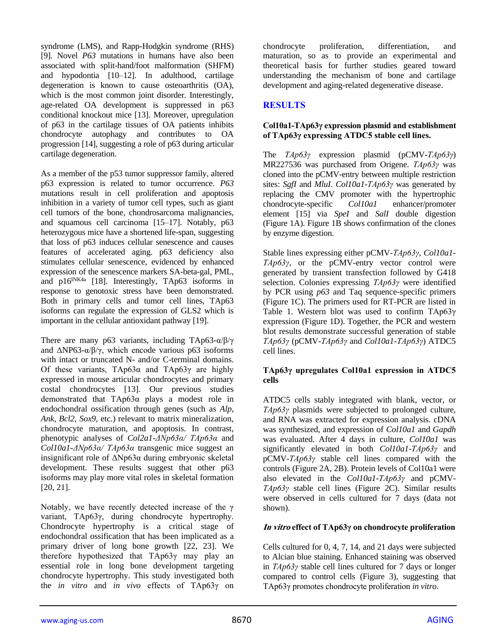syndrome (LMS), and Rapp-Hodgkin syndrome (RHS) [9]. Novel *P63* mutations in humans have also been associated with split-hand/foot malformation (SHFM) and hypodontia [10–12]. In adulthood, cartilage degeneration is known to cause osteoarthritis (OA), which is the most common joint disorder. Interestingly, age-related OA development is suppressed in p63 conditional knockout mice [13]. Moreover, upregulation of p63 in the cartilage tissues of OA patients inhibits chondrocyte autophagy and contributes to OA progression [14], suggesting a role of p63 during articular cartilage degeneration.

As a member of the p53 tumor suppressor family, altered p63 expression is related to tumor occurrence. *P63* mutations result in cell proliferation and apoptosis inhibition in a variety of tumor cell types, such as giant cell tumors of the bone, chondrosarcoma malignancies, and squamous cell carcinoma [15–17]. Notably, p63 heterozygous mice have a shortened life-span, suggesting that loss of p63 induces cellular senescence and causes features of accelerated aging. p63 deficiency also stimulates cellular senescence, evidenced by enhanced expression of the senescence markers SA-beta-gal, PML, and p16<sup>INK4a</sup> [18]. Interestingly, TAp63 isoforms in response to genotoxic stress have been demonstrated. Both in primary cells and tumor cell lines, TAp63 isoforms can regulate the expression of GLS2 which is important in the cellular antioxidant pathway [19].

There are many p63 variants, including TAp63-α/β/γ and  $\Delta NP63-\alpha/\beta/\gamma$ , which encode various p63 isoforms with intact or truncated N- and/or C-terminal domains. Of these variants, TAp63α and TAp63γ are highly expressed in mouse articular chondrocytes and primary costal chondrocytes [13]. Our previous studies demonstrated that TAp63α plays a modest role in endochondral ossification through genes (such as *Alp*, *Ank*, *Bcl2*, *Sox9*, etc.) relevant to matrix mineralization, chondrocyte maturation, and apoptosis. In contrast, phenotypic analyses of *Col2a1-ΔNp63α/ TAp63α* and *Col10a1-ΔNp63α/ TAp63α* transgenic mice suggest an insignificant role of ΔNp63α during embryonic skeletal development. These results suggest that other p63 isoforms may play more vital roles in skeletal formation [20, 21].

Notably, we have recently detected increase of the γ variant, TAp63γ, during chondrocyte hypertrophy. Chondrocyte hypertrophy is a critical stage of endochondral ossification that has been implicated as a primary driver of long bone growth [22, 23]. We therefore hypothesized that TAp63γ may play an essential role in long bone development targeting chondrocyte hypertrophy. This study investigated both the *in vitro* and *in vivo* effects of TAp63γ on

chondrocyte proliferation, differentiation, and maturation, so as to provide an experimental and theoretical basis for further studies geared toward understanding the mechanism of bone and cartilage development and aging-related degenerative disease.

# **RESULTS**

#### **Col10a1-TAp63γ expression plasmid and establishment of TAp63γ expressing ATDC5 stable cell lines.**

The *TAp63γ* expression plasmid (pCMV-*TAp63γ*) MR227536 was purchased from Origene. *TAp63γ* was cloned into the pCMV-entry between multiple restriction sites: *SgfI* and *MluI*. *Col10a1-TAp63γ* was generated by replacing the CMV promoter with the hypertrophic chondrocyte-specific *Col10a1* enhancer/promoter element [15] via *SpeI* and *SalI* double digestion (Figure 1A). Figure 1B shows confirmation of the clones by enzyme digestion.

Stable lines expressing either pCMV-*TAp63γ*, *Col10a1- TAp63γ*, or the pCMV-entry vector control were generated by transient transfection followed by G418 selection. Colonies expressing *TAp63γ* were identified by PCR using *p63* and Taq sequence-specific primers (Figure 1C). The primers used for RT-PCR are listed in Table 1. Western blot was used to confirm TAp63γ expression (Figure 1D). Together, the PCR and western blot results demonstrate successful generation of stable *TAp63γ* (pCMV-*TAp63γ* and *Col10a1-TAp63γ*) ATDC5 cell lines.

#### **TAp63γ upregulates Col10a1 expression in ATDC5 cells**

ATDC5 cells stably integrated with blank, vector, or *TAp63γ* plasmids were subjected to prolonged culture, and RNA was extracted for expression analysis. cDNA was synthesized, and expression of *Col10a1* and *Gapdh* was evaluated. After 4 days in culture, *Col10a1* was significantly elevated in both *Col10a1-TAp63γ* and pCMV-*TAp63γ* stable cell lines compared with the controls (Figure 2A, 2B). Protein levels of Col10a1 were also elevated in the *Col10a1-TAp63γ* and pCMV-*TAp63γ* stable cell lines (Figure 2C). Similar results were observed in cells cultured for 7 days (data not shown).

#### **In vitro effect of TAp63γ on chondrocyte proliferation**

Cells cultured for 0, 4, 7, 14, and 21 days were subjected to Alcian blue staining. Enhanced staining was observed in *TAp63γ* stable cell lines cultured for 7 days or longer compared to control cells (Figure 3), suggesting that TAp63γ promotes chondrocyte proliferation *in vitro*.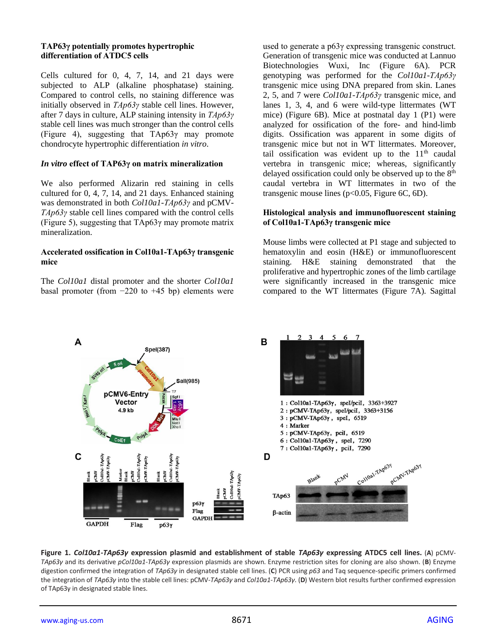#### **TAP63γ potentially promotes hypertrophic differentiation of ATDC5 cells**

Cells cultured for 0, 4, 7, 14, and 21 days were subjected to ALP (alkaline phosphatase) staining. Compared to control cells, no staining difference was initially observed in *TAp63γ* stable cell lines. However, after 7 days in culture, ALP staining intensity in *TAp63γ* stable cell lines was much stronger than the control cells (Figure 4), suggesting that TAp63γ may promote chondrocyte hypertrophic differentiation *in vitro*.

## *In vitro* **effect of TAP63γ on matrix mineralization**

We also performed Alizarin red staining in cells cultured for 0, 4, 7, 14, and 21 days. Enhanced staining was demonstrated in both *Col10a1-TAp63γ* and pCMV-*TAp63γ* stable cell lines compared with the control cells (Figure 5), suggesting that  $TAp63\gamma$  may promote matrix mineralization.

#### **Accelerated ossification in Col10a1-TAp63γ transgenic mice**

The *Col10a1* distal promoter and the shorter *Col10a1* basal promoter (from  $-220$  to  $+45$  bp) elements were used to generate a p63γ expressing transgenic construct. Generation of transgenic mice was conducted at Lannuo Biotechnologies Wuxi, Inc (Figure 6A). PCR genotyping was performed for the *Col10a1-TAp63γ* transgenic mice using DNA prepared from skin. Lanes 2, 5, and 7 were *Col10a1-TAp63γ* transgenic mice, and lanes 1, 3, 4, and 6 were wild-type littermates (WT mice) (Figure 6B). Mice at postnatal day 1 (P1) were analyzed for ossification of the fore- and hind-limb digits. Ossification was apparent in some digits of transgenic mice but not in WT littermates. Moreover, tail ossification was evident up to the  $11<sup>th</sup>$  caudal vertebra in transgenic mice; whereas, significantly delayed ossification could only be observed up to the 8<sup>th</sup> caudal vertebra in WT littermates in two of the transgenic mouse lines ( $p<0.05$ , Figure 6C, 6D).

#### **Histological analysis and immunofluorescent staining of Col10a1-TAp63γ transgenic mice**

Mouse limbs were collected at P1 stage and subjected to hematoxylin and eosin (H&E) or immunofluorescent staining. H&E staining demonstrated that the proliferative and hypertrophic zones of the limb cartilage were significantly increased in the transgenic mice compared to the WT littermates (Figure 7A). Sagittal



**Figure 1.** *Col10a1-TAp63γ* **expression plasmid and establishment of stable** *TAp63γ* **expressing ATDC5 cell lines.** (**A**) pCMV-*TAp63γ* and its derivative *pCol10a1-TAp63γ* expression plasmids are shown. Enzyme restriction sites for cloning are also shown. (**B**) Enzyme digestion confirmed the integration of *TAp63γ* in designated stable cell lines. (**C**) PCR using *p63* and Taq sequence-specific primers confirmed the integration of *TAp63γ* into the stable cell lines: pCMV-*TAp63γ* and *Col10a1-TAp63γ*. (**D**) Western blot results further confirmed expression of TAp63γ in designated stable lines.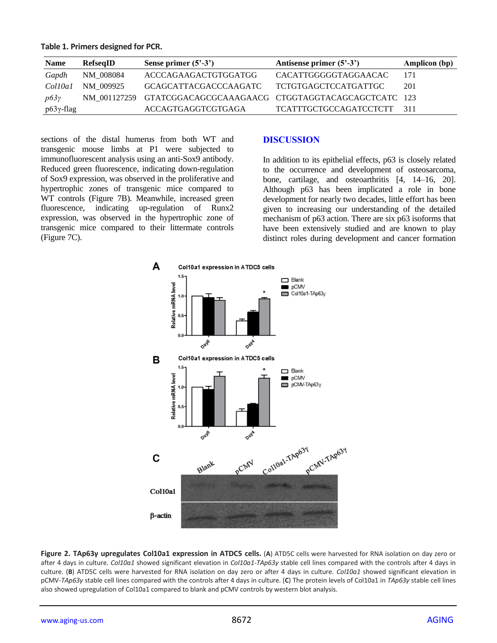|  |  |  | Table 1. Primers designed for PCR. |  |  |
|--|--|--|------------------------------------|--|--|
|--|--|--|------------------------------------|--|--|

| <b>Name</b>  | RefseqID  | Sense primer $(5^{\degree}\text{-}3^{\degree})$                | Antisense primer $(5^2-3^2)$  | <b>Amplicon (bp)</b> |
|--------------|-----------|----------------------------------------------------------------|-------------------------------|----------------------|
| Gapdh        | NM 008084 | ACCCAGAAGACTGTGGATGG                                           | CACATTGGGGGTAGGAACAC          | 171                  |
| Col10a1      | NM 009925 | GCAGCATTACGACCCAAGATC                                          | TCTGTGAGCTCCATGATTGC          | 201                  |
| p63y         |           | NM 001127259 GTATCGGACAGCGCAAAGAACG CTGGTAGGTACAGCAGCTCATC 123 |                               |                      |
| $p63γ$ -flag |           | ACCAGTGAGGTCGTGAGA                                             | <b>TCATTTGCTGCCAGATCCTCTT</b> | -311                 |

sections of the distal humerus from both WT and transgenic mouse limbs at P1 were subjected to immunofluorescent analysis using an anti-Sox9 antibody. Reduced green fluorescence, indicating down-regulation of Sox9 expression, was observed in the proliferative and hypertrophic zones of transgenic mice compared to WT controls (Figure 7B). Meanwhile, increased green fluorescence, indicating up-regulation of Runx2 expression, was observed in the hypertrophic zone of transgenic mice compared to their littermate controls (Figure 7C).

# **DISCUSSION**

In addition to its epithelial effects, p63 is closely related to the occurrence and development of osteosarcoma, bone, cartilage, and osteoarthritis [4, 14–16, 20]. Although p63 has been implicated a role in bone development for nearly two decades, little effort has been given to increasing our understanding of the detailed mechanism of p63 action. There are six p63 isoforms that have been extensively studied and are known to play distinct roles during development and cancer formation



**Figure 2. TAp63γ upregulates Col10a1 expression in ATDC5 cells.** (**A**) ATD5C cells were harvested for RNA isolation on day zero or after 4 days in culture. *Col10a1* showed significant elevation in *Col10a1-TAp63γ* stable cell lines compared with the controls after 4 days in culture. (**B**) ATD5C cells were harvested for RNA isolation on day zero or after 4 days in culture. *Col10a1* showed significant elevation in pCMV-*TAp63γ* stable cell lines compared with the controls after 4 days in culture. (**C**) The protein levels of Col10a1 in *TAp63γ* stable cell lines also showed upregulation of Col10a1 compared to blank and pCMV controls by western blot analysis.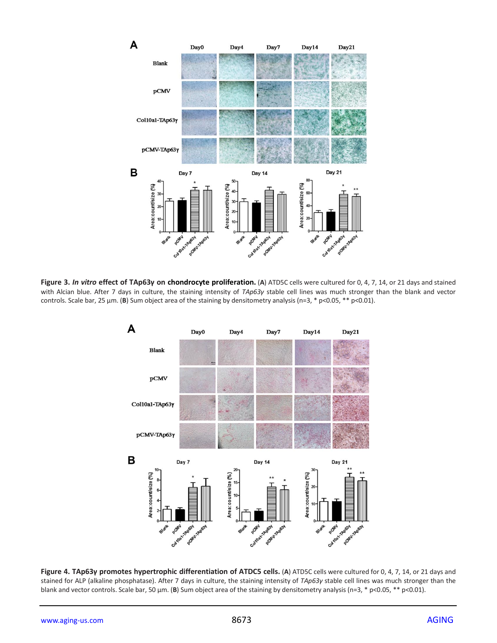

**Figure 3.** *In vitro* **effect of TAp63γ on chondrocyte proliferation.** (**A**) ATD5C cells were cultured for 0, 4, 7, 14, or 21 days and stained with Alcian blue. After 7 days in culture, the staining intensity of *TAp63γ* stable cell lines was much stronger than the blank and vector controls. Scale bar, 25 μm. (**B**) Sum object area of the staining by densitometry analysis (n=3, \* p<0.05, \*\* p<0.01).



**Figure 4. TAp63γ promotes hypertrophic differentiation of ATDC5 cells.** (**A**) ATD5C cells were cultured for 0, 4, 7, 14, or 21 days and stained for ALP (alkaline phosphatase). After 7 days in culture, the staining intensity of *TAp63γ* stable cell lines was much stronger than the blank and vector controls. Scale bar, 50 μm. (**B**) Sum object area of the staining by densitometry analysis (n=3, \* p<0.05, \*\* p<0.01).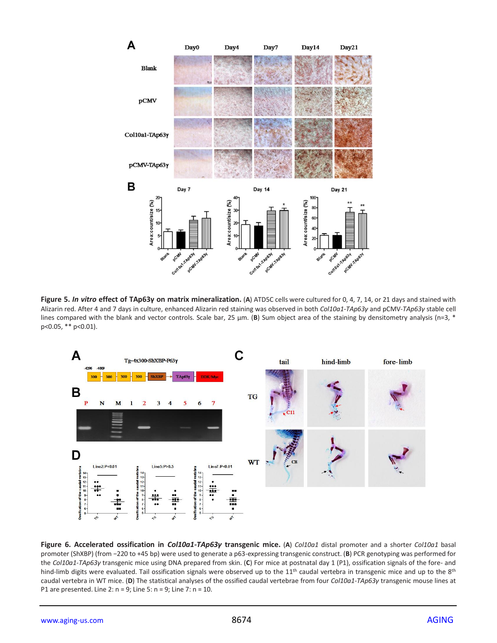

**Figure 5.** *In vitro* **effect of TAp63γ on matrix mineralization.** (**A**) ATD5C cells were cultured for 0, 4, 7, 14, or 21 days and stained with Alizarin red. After 4 and 7 days in culture, enhanced Alizarin red staining was observed in both *Col10a1-TAp63γ* and pCMV-*TAp63γ* stable cell lines compared with the blank and vector controls. Scale bar, 25 μm. (B) Sum object area of the staining by densitometry analysis (n=3, \* p<0.05, \*\* p<0.01).



**Figure 6. Accelerated ossification in** *Col10a1-TAp63γ* **transgenic mice.** (**A**) *Col10a1* distal promoter and a shorter *Col10a1* basal promoter (ShXBP) (from −220 to +45 bp) were used to generate a p63-expressing transgenic construct. (**B**) PCR genotyping was performed for the *Col10a1-TAp63γ* transgenic mice using DNA prepared from skin. (**C**) For mice at postnatal day 1 (P1), ossification signals of the fore- and hind-limb digits were evaluated. Tail ossification signals were observed up to the 11<sup>th</sup> caudal vertebra in transgenic mice and up to the 8<sup>th</sup> caudal vertebra in WT mice. (**D**) The statistical analyses of the ossified caudal vertebrae from four *Col10a1-TAp63γ* transgenic mouse lines at P1 are presented. Line 2: n = 9; Line 5: n = 9; Line 7: n = 10.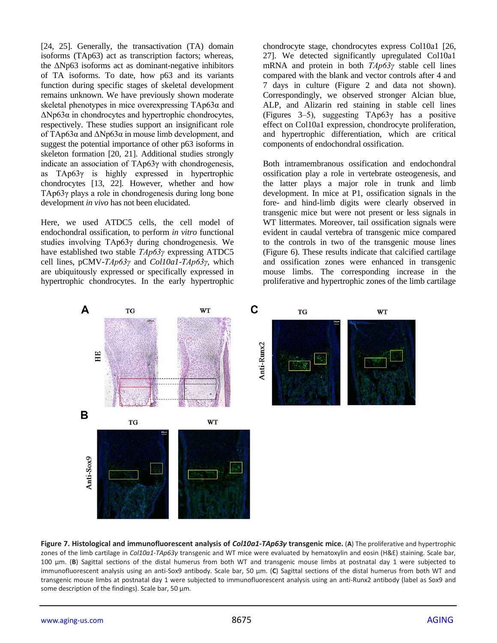[24, 25]. Generally, the transactivation (TA) domain isoforms (TAp63) act as transcription factors; whereas, the  $\Delta$ Np63 isoforms act as dominant-negative inhibitors of TA isoforms. To date, how p63 and its variants function during specific stages of skeletal development remains unknown. We have previously shown moderate skeletal phenotypes in mice overexpressing TAp63α and ΔNp63α in chondrocytes and hypertrophic chondrocytes, respectively. These studies support an insignificant role of TAp63α and ΔNp63α in mouse limb development, and suggest the potential importance of other p63 isoforms in skeleton formation [20, 21]. Additional studies strongly indicate an association of TAp63γ with chondrogenesis, as TAp63γ is highly expressed in hypertrophic chondrocytes [13, 22]. However, whether and how TAp63γ plays a role in chondrogenesis during long bone development *in vivo* has not been elucidated.

Here, we used ATDC5 cells, the cell model of endochondral ossification, to perform *in vitro* functional studies involving TAp63γ during chondrogenesis. We have established two stable *TAp63γ* expressing ATDC5 cell lines, pCMV-*TAp63γ* and *Col10a1-TAp63γ*, which are ubiquitously expressed or specifically expressed in hypertrophic chondrocytes. In the early hypertrophic

chondrocyte stage, chondrocytes express Col10a1 [26, 27]. We detected significantly upregulated Col10a1 mRNA and protein in both *TAp63γ* stable cell lines compared with the blank and vector controls after 4 and 7 days in culture (Figure 2 and data not shown). Correspondingly, we observed stronger Alcian blue, ALP, and Alizarin red staining in stable cell lines (Figures 3–5), suggesting TAp63γ has a positive effect on Col10a1 expression, chondrocyte proliferation, and hypertrophic differentiation, which are critical components of endochondral ossification.

Both intramembranous ossification and endochondral ossification play a role in vertebrate osteogenesis, and the latter plays a major role in trunk and limb development. In mice at P1, ossification signals in the fore- and hind-limb digits were clearly observed in transgenic mice but were not present or less signals in WT littermates. Moreover, tail ossification signals were evident in caudal vertebra of transgenic mice compared to the controls in two of the transgenic mouse lines (Figure 6). These results indicate that calcified cartilage and ossification zones were enhanced in transgenic mouse limbs. The corresponding increase in the proliferative and hypertrophic zones of the limb cartilage



**Figure 7. Histological and immunofluorescent analysis of** *Col10a1-TAp63γ* **transgenic mice.** (**A**) The proliferative and hypertrophic zones of the limb cartilage in *Col10a1-TAp63γ* transgenic and WT mice were evaluated by hematoxylin and eosin (H&E) staining. Scale bar, 100 μm. (**B**) Sagittal sections of the distal humerus from both WT and transgenic mouse limbs at postnatal day 1 were subjected to immunofluorescent analysis using an anti-Sox9 antibody. Scale bar, 50 μm. (**C**) Sagittal sections of the distal humerus from both WT and transgenic mouse limbs at postnatal day 1 were subjected to immunofluorescent analysis using an anti-Runx2 antibody (label as Sox9 and some description of the findings). Scale bar, 50 μm.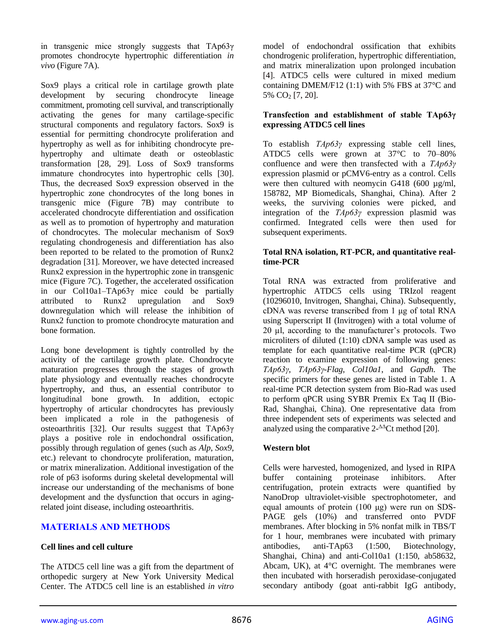in transgenic mice strongly suggests that TAp63γ promotes chondrocyte hypertrophic differentiation *in vivo* (Figure 7A).

Sox9 plays a critical role in cartilage growth plate development by securing chondrocyte lineage commitment, promoting cell survival, and transcriptionally activating the genes for many cartilage-specific structural components and regulatory factors. Sox9 is essential for permitting chondrocyte proliferation and hypertrophy as well as for inhibiting chondrocyte prehypertrophy and ultimate death or osteoblastic transformation [28, 29]. Loss of Sox9 transforms immature chondrocytes into hypertrophic cells [30]. Thus, the decreased Sox9 expression observed in the hypertrophic zone chondrocytes of the long bones in transgenic mice (Figure 7B) may contribute to accelerated chondrocyte differentiation and ossification as well as to promotion of hypertrophy and maturation of chondrocytes. The molecular mechanism of Sox9 regulating chondrogenesis and differentiation has also been reported to be related to the promotion of Runx2 degradation [31]. Moreover, we have detected increased Runx2 expression in the hypertrophic zone in transgenic mice (Figure 7C). Together, the accelerated ossification in our Col10a1–TAp63γ mice could be partially attributed to Runx2 upregulation and Sox9 downregulation which will release the inhibition of Runx2 function to promote chondrocyte maturation and bone formation.

Long bone development is tightly controlled by the activity of the cartilage growth plate. Chondrocyte maturation progresses through the stages of growth plate physiology and eventually reaches chondrocyte hypertrophy, and thus, an essential contributor to longitudinal bone growth. In addition, ectopic hypertrophy of articular chondrocytes has previously been implicated a role in the pathogenesis of osteoarthritis [32]. Our results suggest that TAp63γ plays a positive role in endochondral ossification, possibly through regulation of genes (such as *Alp*, *Sox9*, etc.) relevant to chondrocyte proliferation, maturation, or matrix mineralization. Additional investigation of the role of p63 isoforms during skeletal developmental will increase our understanding of the mechanisms of bone development and the dysfunction that occurs in agingrelated joint disease, including osteoarthritis.

# **MATERIALS AND METHODS**

# **Cell lines and cell culture**

The ATDC5 cell line was a gift from the department of orthopedic surgery at New York University Medical Center. The ATDC5 cell line is an established *in vitro*

model of endochondral ossification that exhibits chondrogenic proliferation, hypertrophic differentiation, and matrix mineralization upon prolonged incubation [4]. ATDC5 cells were cultured in mixed medium containing DMEM/F12  $(1:1)$  with 5% FBS at 37 $\degree$ C and 5% CO<sup>2</sup> [7, 20].

#### **Transfection and establishment of stable TAp63γ expressing ATDC5 cell lines**

To establish *TAp63γ* expressing stable cell lines, ATDC5 cells were grown at 37°C to 70–80% confluence and were then transfected with a *TAp63γ* expression plasmid or pCMV6-entry as a control. Cells were then cultured with neomycin G418 (600 µg/ml, 158782, MP Biomedicals, Shanghai, China). After 2 weeks, the surviving colonies were picked, and integration of the *TAp63γ* expression plasmid was confirmed. Integrated cells were then used for subsequent experiments.

#### **Total RNA isolation, RT-PCR, and quantitative realtime-PCR**

Total RNA was extracted from proliferative and hypertrophic ATDC5 cells using TRIzol reagent (10296010, Invitrogen, Shanghai, China). Subsequently, cDNA was reverse transcribed from 1 μg of total RNA using Superscript II (Invitrogen) with a total volume of 20 µl, according to the manufacturer's protocols. Two microliters of diluted (1:10) cDNA sample was used as template for each quantitative real-time PCR (qPCR) reaction to examine expression of following genes: *TAp63γ*, *TAp63γ-Flag*, *Col10a1*, and *Gapdh*. The specific primers for these genes are listed in Table 1. A real-time PCR detection system from Bio-Rad was used to perform qPCR using SYBR Premix Ex Taq II (Bio-Rad, Shanghai, China). One representative data from three independent sets of experiments was selected and analyzed using the comparative  $2-\Delta\Delta$ Ct method [20].

# **Western blot**

Cells were harvested, homogenized, and lysed in RIPA buffer containing proteinase inhibitors. After centrifugation, protein extracts were quantified by NanoDrop ultraviolet-visible spectrophotometer, and equal amounts of protein (100 μg) were run on SDS-PAGE gels (10%) and transferred onto PVDF membranes. After blocking in 5% nonfat milk in TBS/T for 1 hour, membranes were incubated with primary antibodies, anti-TAp63 (1:500, Biotechnology, Shanghai, China) and anti-Col10a1 (1:150, ab58632, Abcam, UK), at 4°C overnight. The membranes were then incubated with horseradish peroxidase-conjugated secondary antibody (goat anti-rabbit IgG antibody,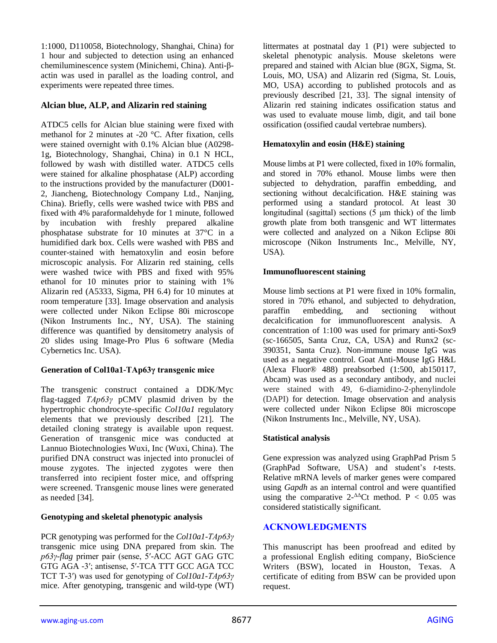1:1000, D110058, Biotechnology, Shanghai, China) for 1 hour and subjected to detection using an enhanced chemiluminescence system (Minichemi, China). Anti-βactin was used in parallel as the loading control, and experiments were repeated three times.

## **Alcian blue, ALP, and Alizarin red staining**

ATDC5 cells for Alcian blue staining were fixed with methanol for 2 minutes at -20 °C. After fixation, cells were stained overnight with 0.1% Alcian blue (A0298- 1g, Biotechnology, Shanghai, China) in 0.1 N HCL, followed by wash with distilled water. ATDC5 cells were stained for alkaline phosphatase (ALP) according to the instructions provided by the manufacturer (D001- 2, Jiancheng, Biotechnology Company Ltd., Nanjing, China). Briefly, cells were washed twice with PBS and fixed with 4% paraformaldehyde for 1 minute, followed by incubation with freshly prepared alkaline phosphatase substrate for 10 minutes at 37°C in a humidified dark box. Cells were washed with PBS and counter-stained with hematoxylin and eosin before microscopic analysis. For Alizarin red staining, cells were washed twice with PBS and fixed with 95% ethanol for 10 minutes prior to staining with 1% Alizarin red (A5333, Sigma, PH 6.4) for 10 minutes at room temperature [33]. Image observation and analysis were collected under Nikon Eclipse 80i microscope (Nikon Instruments Inc., NY, USA). The staining difference was quantified by densitometry analysis of 20 slides using Image-Pro Plus 6 software (Media Cybernetics Inc. USA).

#### **Generation of Col10a1-TAp63γ transgenic mice**

The transgenic construct contained a DDK/Myc flag-tagged *TAp63γ* pCMV plasmid driven by the hypertrophic chondrocyte-specific *Col10a1* regulatory elements that we previously described [21]. The detailed cloning strategy is available upon request. Generation of transgenic mice was conducted at Lannuo Biotechnologies Wuxi, Inc (Wuxi, China). The purified DNA construct was injected into pronuclei of mouse zygotes. The injected zygotes were then transferred into recipient foster mice, and offspring were screened. Transgenic mouse lines were generated as needed [34].

#### **Genotyping and skeletal phenotypic analysis**

PCR genotyping was performed for the *Col10a1-TAp63γ* transgenic mice using DNA prepared from skin. The *p63γ-flag* primer pair (sense, 5′-ACC AGT GAG GTC GTG AGA -3′; antisense, 5′-TCA TTT GCC AGA TCC TCT T-3′) was used for genotyping of *Col10a1-TAp63γ* mice. After genotyping, transgenic and wild-type (WT)

littermates at postnatal day 1 (P1) were subjected to skeletal phenotypic analysis. Mouse skeletons were prepared and stained with Alcian blue (8GX, Sigma, St. Louis, MO, USA) and Alizarin red (Sigma, St. Louis, MO, USA) according to published protocols and as previously described [21, 33]. The signal intensity of Alizarin red staining indicates ossification status and was used to evaluate mouse limb, digit, and tail bone ossification (ossified caudal vertebrae numbers).

#### **Hematoxylin and eosin (H&E) staining**

Mouse limbs at P1 were collected, fixed in 10% formalin, and stored in 70% ethanol. Mouse limbs were then subjected to dehydration, paraffin embedding, and sectioning without decalcification. H&E staining was performed using a standard protocol. At least 30 longitudinal (sagittal) sections (5 μm thick) of the limb growth plate from both transgenic and WT littermates were collected and analyzed on a Nikon Eclipse 80i microscope (Nikon Instruments Inc., Melville, NY, USA).

#### **Immunofluorescent staining**

Mouse limb sections at P1 were fixed in 10% formalin, stored in 70% ethanol, and subjected to dehydration, paraffin embedding, and sectioning without decalcification for immunofluorescent analysis. A concentration of 1:100 was used for primary anti-Sox9 (sc-166505, Santa Cruz, CA, USA) and Runx2 (sc-390351, Santa Cruz). Non-immune mouse IgG was used as a negative control. Goat Anti-Mouse IgG H&L (Alexa Fluor® 488) preabsorbed (1:500, ab150117, Abcam) was used as a secondary antibody, and nuclei were stained with 49, 6-diamidino-2-phenylindole (DAPI) for detection. Image observation and analysis were collected under Nikon Eclipse 80i microscope (Nikon Instruments Inc., Melville, NY, USA).

#### **Statistical analysis**

Gene expression was analyzed using GraphPad Prism 5 (GraphPad Software, USA) and student's *t*-tests. Relative mRNA levels of marker genes were compared using *Gapdh* as an internal control and were quantified using the comparative  $2-\Delta C$ t method. P < 0.05 was considered statistically significant.

# **ACKNOWLEDGMENTS**

This manuscript has been proofread and edited by a professional English editing company, BioScience Writers (BSW), located in Houston, Texas. A certificate of editing from BSW can be provided upon request.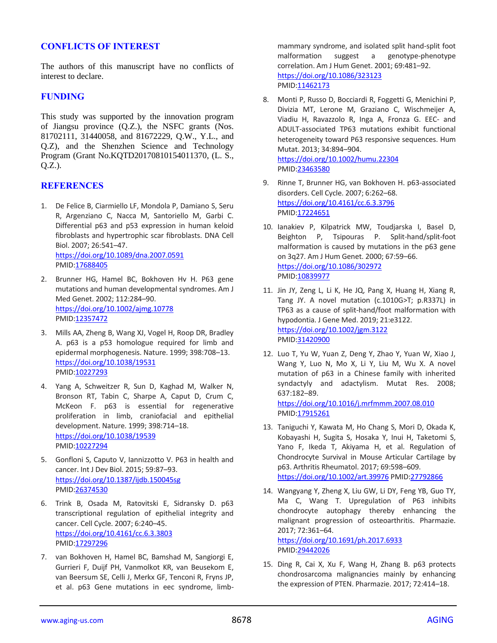## **CONFLICTS OF INTEREST**

The authors of this manuscript have no conflicts of interest to declare.

#### **FUNDING**

This study was supported by the innovation program of Jiangsu province (Q.Z.), the NSFC grants (Nos. 81702111, 31440058, and 81672229, Q.W., Y.L., and Q.Z), and the Shenzhen Science and Technology Program (Grant No.KQTD20170810154011370, (L. S., Q.Z.).

## **REFERENCES**

1. De Felice B, Ciarmiello LF, Mondola P, Damiano S, Seru R, Argenziano C, Nacca M, Santoriello M, Garbi C. Differential p63 and p53 expression in human keloid fibroblasts and hypertrophic scar fibroblasts. DNA Cell Biol. 2007; 26:541–47. <https://doi.org/10.1089/dna.2007.0591>

PMID[:17688405](https://www.ncbi.nlm.nih.gov/pubmed/17688405)

- 2. Brunner HG, Hamel BC, Bokhoven Hv H. P63 gene mutations and human developmental syndromes. Am J Med Genet. 2002; 112:284–90. <https://doi.org/10.1002/ajmg.10778> PMID[:12357472](https://www.ncbi.nlm.nih.gov/pubmed/12357472)
- 3. Mills AA, Zheng B, Wang XJ, Vogel H, Roop DR, Bradley A. p63 is a p53 homologue required for limb and epidermal morphogenesis. Nature. 1999; 398:708–13. <https://doi.org/10.1038/19531> PMID[:10227293](https://www.ncbi.nlm.nih.gov/pubmed/10227293)
- 4. Yang A, Schweitzer R, Sun D, Kaghad M, Walker N, Bronson RT, Tabin C, Sharpe A, Caput D, Crum C, McKeon F. p63 is essential for regenerative proliferation in limb, craniofacial and epithelial development. Nature. 1999; 398:714–18. <https://doi.org/10.1038/19539> PMID[:10227294](https://www.ncbi.nlm.nih.gov/pubmed/10227294)
- 5. Gonfloni S, Caputo V, Iannizzotto V. P63 in health and cancer. Int J Dev Biol. 2015; 59:87–93. <https://doi.org/10.1387/ijdb.150045sg> PMID[:26374530](https://www.ncbi.nlm.nih.gov/pubmed/26374530)
- 6. Trink B, Osada M, Ratovitski E, Sidransky D. p63 transcriptional regulation of epithelial integrity and cancer. Cell Cycle. 2007; 6:240–45. <https://doi.org/10.4161/cc.6.3.3803> PMID[:17297296](https://www.ncbi.nlm.nih.gov/pubmed/17297296)
- 7. van Bokhoven H, Hamel BC, Bamshad M, Sangiorgi E, Gurrieri F, Duijf PH, Vanmolkot KR, van Beusekom E, van Beersum SE, Celli J, Merkx GF, Tenconi R, Fryns JP, et al. p63 Gene mutations in eec syndrome, limb-

mammary syndrome, and isolated split hand-split foot malformation suggest a genotype-phenotype correlation. Am J Hum Genet. 2001; 69:481–92. <https://doi.org/10.1086/323123> PMI[D:11462173](https://www.ncbi.nlm.nih.gov/pubmed/11462173)

8. Monti P, Russo D, Bocciardi R, Foggetti G, Menichini P, Divizia MT, Lerone M, Graziano C, Wischmeijer A, Viadiu H, Ravazzolo R, Inga A, Fronza G. EEC- and ADULT-associated TP63 mutations exhibit functional heterogeneity toward P63 responsive sequences. Hum Mutat. 2013; 34:894–904. <https://doi.org/10.1002/humu.22304>

PMI[D:23463580](https://www.ncbi.nlm.nih.gov/pubmed/23463580)

- 9. Rinne T, Brunner HG, van Bokhoven H. p63-associated disorders. Cell Cycle. 2007; 6:262–68. <https://doi.org/10.4161/cc.6.3.3796> PMI[D:17224651](https://www.ncbi.nlm.nih.gov/pubmed/17224651)
- 10. Ianakiev P, Kilpatrick MW, Toudjarska I, Basel D, Beighton P, Tsipouras P. Split-hand/split-foot malformation is caused by mutations in the p63 gene on 3q27. Am J Hum Genet. 2000; 67:59–66. <https://doi.org/10.1086/302972> PMI[D:10839977](https://www.ncbi.nlm.nih.gov/pubmed/10839977)
- 11. Jin JY, Zeng L, Li K, He JQ, Pang X, Huang H, Xiang R, Tang JY. A novel mutation (c.1010G>T; p.R337L) in TP63 as a cause of split-hand/foot malformation with hypodontia. J Gene Med. 2019; 21:e3122. <https://doi.org/10.1002/jgm.3122> PMI[D:31420900](https://www.ncbi.nlm.nih.gov/pubmed/31420900)
- 12. Luo T, Yu W, Yuan Z, Deng Y, Zhao Y, Yuan W, Xiao J, Wang Y, Luo N, Mo X, Li Y, Liu M, Wu X. A novel mutation of p63 in a Chinese family with inherited syndactyly and adactylism. Mutat Res. 2008; 637:182–89. <https://doi.org/10.1016/j.mrfmmm.2007.08.010>

PMI[D:17915261](https://www.ncbi.nlm.nih.gov/pubmed/17915261)

- 13. Taniguchi Y, Kawata M, Ho Chang S, Mori D, Okada K, Kobayashi H, Sugita S, Hosaka Y, Inui H, Taketomi S, Yano F, Ikeda T, Akiyama H, et al. Regulation of Chondrocyte Survival in Mouse Articular Cartilage by p63. Arthritis Rheumatol. 2017; 69:598–609. <https://doi.org/10.1002/art.39976> PMID[:27792866](https://www.ncbi.nlm.nih.gov/pubmed/27792866)
- 14. Wangyang Y, Zheng X, Liu GW, Li DY, Feng YB, Guo TY, Ma C, Wang T. Upregulation of P63 inhibits chondrocyte autophagy thereby enhancing the malignant progression of osteoarthritis. Pharmazie. 2017; 72:361–64.

<https://doi.org/10.1691/ph.2017.6933> PMI[D:29442026](https://www.ncbi.nlm.nih.gov/pubmed/29442026)

15. Ding R, Cai X, Xu F, Wang H, Zhang B. p63 protects chondrosarcoma malignancies mainly by enhancing the expression of PTEN. Pharmazie. 2017; 72:414–18.